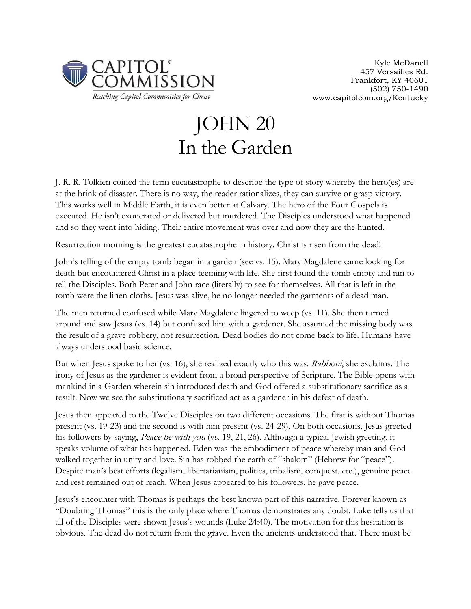

## JOHN 20 In the Garden

J. R. R. Tolkien coined the term eucatastrophe to describe the type of story whereby the hero(es) are at the brink of disaster. There is no way, the reader rationalizes, they can survive or grasp victory. This works well in Middle Earth, it is even better at Calvary. The hero of the Four Gospels is executed. He isn't exonerated or delivered but murdered. The Disciples understood what happened and so they went into hiding. Their entire movement was over and now they are the hunted.

Resurrection morning is the greatest eucatastrophe in history. Christ is risen from the dead!

John's telling of the empty tomb began in a garden (see vs. 15). Mary Magdalene came looking for death but encountered Christ in a place teeming with life. She first found the tomb empty and ran to tell the Disciples. Both Peter and John race (literally) to see for themselves. All that is left in the tomb were the linen cloths. Jesus was alive, he no longer needed the garments of a dead man.

The men returned confused while Mary Magdalene lingered to weep (vs. 11). She then turned around and saw Jesus (vs. 14) but confused him with a gardener. She assumed the missing body was the result of a grave robbery, not resurrection. Dead bodies do not come back to life. Humans have always understood basic science.

But when Jesus spoke to her (vs. 16), she realized exactly who this was. Rabboni, she exclaims. The irony of Jesus as the gardener is evident from a broad perspective of Scripture. The Bible opens with mankind in a Garden wherein sin introduced death and God offered a substitutionary sacrifice as a result. Now we see the substitutionary sacrificed act as a gardener in his defeat of death.

Jesus then appeared to the Twelve Disciples on two different occasions. The first is without Thomas present (vs. 19-23) and the second is with him present (vs. 24-29). On both occasions, Jesus greeted his followers by saying, Peace be with you (vs. 19, 21, 26). Although a typical Jewish greeting, it speaks volume of what has happened. Eden was the embodiment of peace whereby man and God walked together in unity and love. Sin has robbed the earth of "shalom" (Hebrew for "peace"). Despite man's best efforts (legalism, libertarianism, politics, tribalism, conquest, etc.), genuine peace and rest remained out of reach. When Jesus appeared to his followers, he gave peace.

Jesus's encounter with Thomas is perhaps the best known part of this narrative. Forever known as "Doubting Thomas" this is the only place where Thomas demonstrates any doubt. Luke tells us that all of the Disciples were shown Jesus's wounds (Luke 24:40). The motivation for this hesitation is obvious. The dead do not return from the grave. Even the ancients understood that. There must be